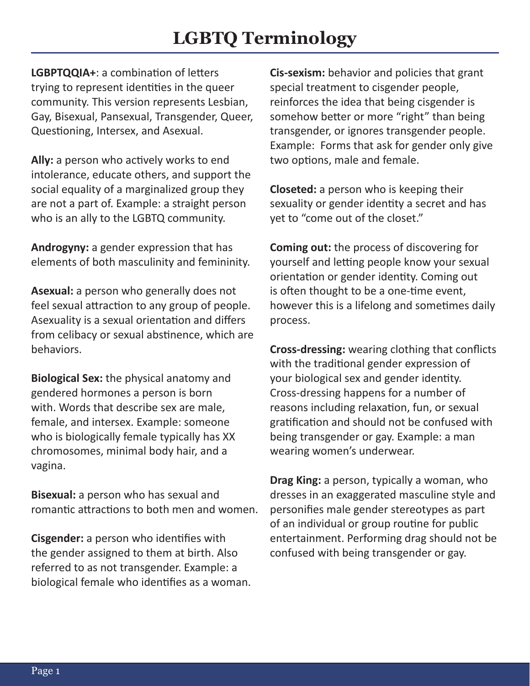**LGBPTQQIA+**: a combination of letters trying to represent identities in the queer community. This version represents Lesbian, Gay, Bisexual, Pansexual, Transgender, Queer, Questioning, Intersex, and Asexual.

**Ally:** a person who actively works to end intolerance, educate others, and support the social equality of a marginalized group they are not a part of. Example: a straight person who is an ally to the LGBTQ community.

**Androgyny:** a gender expression that has elements of both masculinity and femininity.

**Asexual:** a person who generally does not feel sexual attraction to any group of people. Asexuality is a sexual orientation and differs from celibacy or sexual abstinence, which are behaviors.

**Biological Sex:** the physical anatomy and gendered hormones a person is born with. Words that describe sex are male, female, and intersex. Example: someone who is biologically female typically has XX chromosomes, minimal body hair, and a vagina.

**Bisexual:** a person who has sexual and romantic attractions to both men and women.

**Cisgender:** a person who identifies with the gender assigned to them at birth. Also referred to as not transgender. Example: a biological female who identifies as a woman.

**Cis-sexism:** behavior and policies that grant special treatment to cisgender people, reinforces the idea that being cisgender is somehow better or more "right" than being transgender, or ignores transgender people. Example: Forms that ask for gender only give two options, male and female.

**Closeted:** a person who is keeping their sexuality or gender identity a secret and has yet to "come out of the closet."

**Coming out:** the process of discovering for yourself and letting people know your sexual orientation or gender identity. Coming out is often thought to be a one-time event, however this is a lifelong and sometimes daily process.

**Cross-dressing:** wearing clothing that conflicts with the traditional gender expression of your biological sex and gender identity. Cross-dressing happens for a number of reasons including relaxation, fun, or sexual gratification and should not be confused with being transgender or gay. Example: a man wearing women's underwear.

**Drag King:** a person, typically a woman, who dresses in an exaggerated masculine style and personifies male gender stereotypes as part of an individual or group routine for public entertainment. Performing drag should not be confused with being transgender or gay.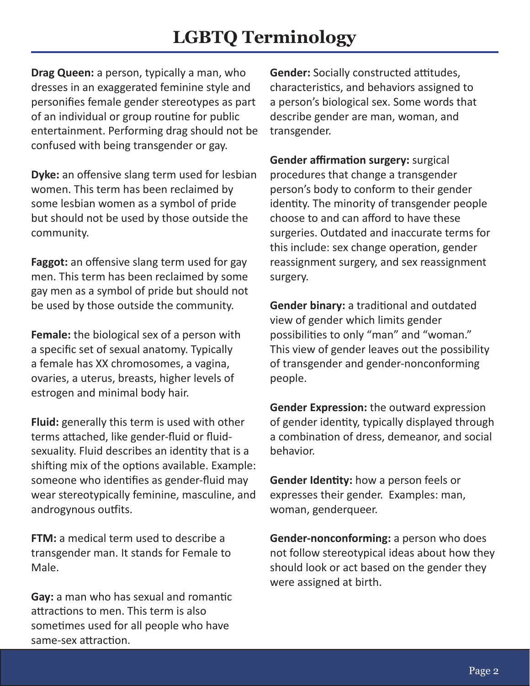**Drag Queen:** a person, typically a man, who dresses in an exaggerated feminine style and personifies female gender stereotypes as part of an individual or group routine for public entertainment. Performing drag should not be confused with being transgender or gay.

**Dyke:** an offensive slang term used for lesbian women. This term has been reclaimed by some lesbian women as a symbol of pride but should not be used by those outside the community.

**Faggot:** an offensive slang term used for gay men. This term has been reclaimed by some gay men as a symbol of pride but should not be used by those outside the community.

**Female:** the biological sex of a person with a specific set of sexual anatomy. Typically a female has XX chromosomes, a vagina, ovaries, a uterus, breasts, higher levels of estrogen and minimal body hair.

**Fluid:** generally this term is used with other terms attached, like gender-fluid or fluidsexuality. Fluid describes an identity that is a shifting mix of the options available. Example: someone who identifies as gender-fluid may wear stereotypically feminine, masculine, and androgynous outfits.

**FTM:** a medical term used to describe a transgender man. It stands for Female to Male.

**Gay:** a man who has sexual and romantic attractions to men. This term is also sometimes used for all people who have same-sex attraction.

**Gender:** Socially constructed attitudes, characteristics, and behaviors assigned to a person's biological sex. Some words that describe gender are man, woman, and transgender.

**Gender affirmation surgery:** surgical procedures that change a transgender person's body to conform to their gender identity. The minority of transgender people choose to and can afford to have these surgeries. Outdated and inaccurate terms for this include: sex change operation, gender reassignment surgery, and sex reassignment surgery.

**Gender binary:** a traditional and outdated view of gender which limits gender possibilities to only "man" and "woman." This view of gender leaves out the possibility of transgender and gender-nonconforming people.

**Gender Expression:** the outward expression of gender identity, typically displayed through a combination of dress, demeanor, and social behavior.

**Gender Identity:** how a person feels or expresses their gender. Examples: man, woman, genderqueer.

**Gender-nonconforming:** a person who does not follow stereotypical ideas about how they should look or act based on the gender they were assigned at birth.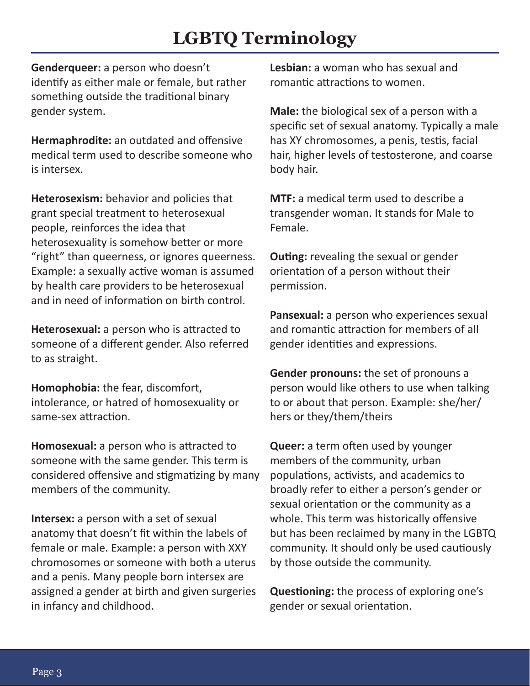**Genderqueer:** a person who doesn't identify as either male or female, but rather something outside the traditional binary gender system.

**Hermaphrodite:** an outdated and offensive medical term used to describe someone who is intersex.

**Heterosexism:** behavior and policies that grant special treatment to heterosexual people, reinforces the idea that heterosexuality is somehow better or more "right" than queerness, or ignores queerness. Example: a sexually active woman is assumed by health care providers to be heterosexual and in need of information on birth control.

**Heterosexual:** a person who is attracted to someone of a different gender. Also referred to as straight.

**Homophobia:** the fear, discomfort, intolerance, or hatred of homosexuality or same-sex attraction.

**Homosexual:** a person who is attracted to someone with the same gender. This term is considered offensive and stigmatizing by many members of the community.

**Intersex:** a person with a set of sexual anatomy that doesn't fit within the labels of female or male. Example: a person with XXY chromosomes or someone with both a uterus and a penis. Many people born intersex are assigned a gender at birth and given surgeries in infancy and childhood.

**Lesbian:** a woman who has sexual and romantic attractions to women.

**Male:** the biological sex of a person with a specific set of sexual anatomy. Typically a male has XY chromosomes, a penis, testis, facial hair, higher levels of testosterone, and coarse body hair.

**MTF:** a medical term used to describe a transgender woman. It stands for Male to Female.

**Outing:** revealing the sexual or gender orientation of a person without their permission.

**Pansexual:** a person who experiences sexual and romantic attraction for members of all gender identities and expressions.

**Gender pronouns:** the set of pronouns a person would like others to use when talking to or about that person. Example: she/her/ hers or they/them/theirs

**Queer:** a term often used by younger members of the community, urban populations, activists, and academics to broadly refer to either a person's gender or sexual orientation or the community as a whole. This term was historically offensive but has been reclaimed by many in the LGBTQ community. It should only be used cautiously by those outside the community.

**Questioning:** the process of exploring one's gender or sexual orientation.